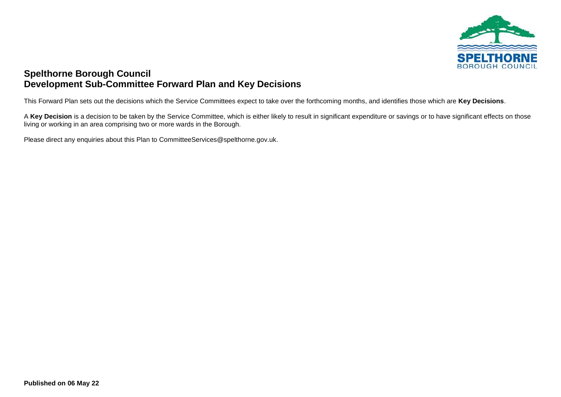

## **Spelthorne Borough Council Development Sub-Committee Forward Plan and Key Decisions**

This Forward Plan sets out the decisions which the Service Committees expect to take over the forthcoming months, and identifies those which are **Key Decisions**.

A Key Decision is a decision to be taken by the Service Committee, which is either likely to result in significant expenditure or savings or to have significant effects on those living or working in an area comprising two or more wards in the Borough.

Please direct any enquiries about this Plan to CommitteeServices@spelthorne.gov.uk.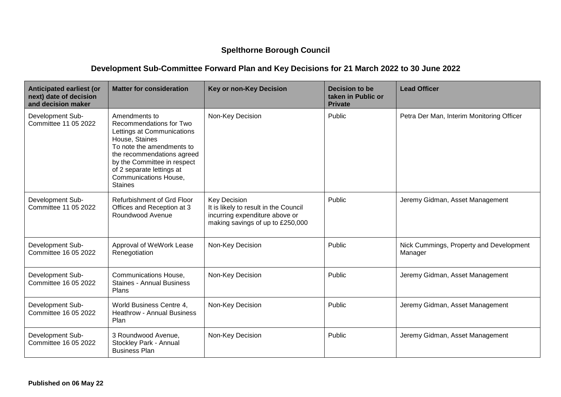## **Spelthorne Borough Council**

## **Development Sub-Committee Forward Plan and Key Decisions for 21 March 2022 to 30 June 2022**

| <b>Anticipated earliest (or</b><br>next) date of decision<br>and decision maker | <b>Matter for consideration</b>                                                                                                                                                                                                                                   | <b>Key or non-Key Decision</b>                                                                                                     | <b>Decision to be</b><br>taken in Public or<br><b>Private</b> | <b>Lead Officer</b>                                |
|---------------------------------------------------------------------------------|-------------------------------------------------------------------------------------------------------------------------------------------------------------------------------------------------------------------------------------------------------------------|------------------------------------------------------------------------------------------------------------------------------------|---------------------------------------------------------------|----------------------------------------------------|
| Development Sub-<br>Committee 11 05 2022                                        | Amendments to<br>Recommendations for Two<br>Lettings at Communications<br>House, Staines<br>To note the amendments to<br>the recommendations agreed<br>by the Committee in respect<br>of 2 separate lettings at<br><b>Communications House,</b><br><b>Staines</b> | Non-Key Decision                                                                                                                   | Public                                                        | Petra Der Man, Interim Monitoring Officer          |
| Development Sub-<br>Committee 11 05 2022                                        | Refurbishment of Grd Floor<br>Offices and Reception at 3<br>Roundwood Avenue                                                                                                                                                                                      | <b>Key Decision</b><br>It is likely to result in the Council<br>incurring expenditure above or<br>making savings of up to £250,000 | Public                                                        | Jeremy Gidman, Asset Management                    |
| Development Sub-<br>Committee 16 05 2022                                        | Approval of WeWork Lease<br>Renegotiation                                                                                                                                                                                                                         | Non-Key Decision                                                                                                                   | Public                                                        | Nick Cummings, Property and Development<br>Manager |
| Development Sub-<br>Committee 16 05 2022                                        | Communications House,<br><b>Staines - Annual Business</b><br>Plans                                                                                                                                                                                                | Non-Key Decision                                                                                                                   | Public                                                        | Jeremy Gidman, Asset Management                    |
| Development Sub-<br>Committee 16 05 2022                                        | World Business Centre 4,<br><b>Heathrow - Annual Business</b><br>Plan                                                                                                                                                                                             | Non-Key Decision                                                                                                                   | Public                                                        | Jeremy Gidman, Asset Management                    |
| Development Sub-<br>Committee 16 05 2022                                        | 3 Roundwood Avenue,<br>Stockley Park - Annual<br><b>Business Plan</b>                                                                                                                                                                                             | Non-Key Decision                                                                                                                   | Public                                                        | Jeremy Gidman, Asset Management                    |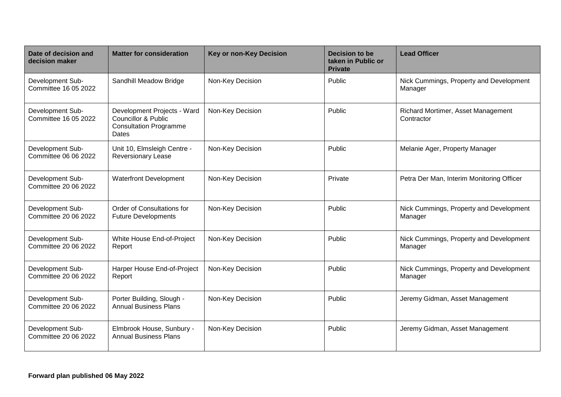| Date of decision and<br>decision maker   | <b>Matter for consideration</b>                                                                                | <b>Key or non-Key Decision</b> | Decision to be<br>taken in Public or<br><b>Private</b> | <b>Lead Officer</b>                                |
|------------------------------------------|----------------------------------------------------------------------------------------------------------------|--------------------------------|--------------------------------------------------------|----------------------------------------------------|
| Development Sub-<br>Committee 16 05 2022 | Sandhill Meadow Bridge                                                                                         | Non-Key Decision               | Public                                                 | Nick Cummings, Property and Development<br>Manager |
| Development Sub-<br>Committee 16 05 2022 | Development Projects - Ward<br><b>Councillor &amp; Public</b><br><b>Consultation Programme</b><br><b>Dates</b> | Non-Key Decision               | Public                                                 | Richard Mortimer, Asset Management<br>Contractor   |
| Development Sub-<br>Committee 06 06 2022 | Unit 10, Elmsleigh Centre -<br><b>Reversionary Lease</b>                                                       | Non-Key Decision               | Public                                                 | Melanie Ager, Property Manager                     |
| Development Sub-<br>Committee 20 06 2022 | <b>Waterfront Development</b>                                                                                  | Non-Key Decision               | Private                                                | Petra Der Man, Interim Monitoring Officer          |
| Development Sub-<br>Committee 20 06 2022 | Order of Consultations for<br><b>Future Developments</b>                                                       | Non-Key Decision               | Public                                                 | Nick Cummings, Property and Development<br>Manager |
| Development Sub-<br>Committee 20 06 2022 | White House End-of-Project<br>Report                                                                           | Non-Key Decision               | Public                                                 | Nick Cummings, Property and Development<br>Manager |
| Development Sub-<br>Committee 20 06 2022 | Harper House End-of-Project<br>Report                                                                          | Non-Key Decision               | Public                                                 | Nick Cummings, Property and Development<br>Manager |
| Development Sub-<br>Committee 20 06 2022 | Porter Building, Slough -<br><b>Annual Business Plans</b>                                                      | Non-Key Decision               | Public                                                 | Jeremy Gidman, Asset Management                    |
| Development Sub-<br>Committee 20 06 2022 | Elmbrook House, Sunbury -<br><b>Annual Business Plans</b>                                                      | Non-Key Decision               | Public                                                 | Jeremy Gidman, Asset Management                    |